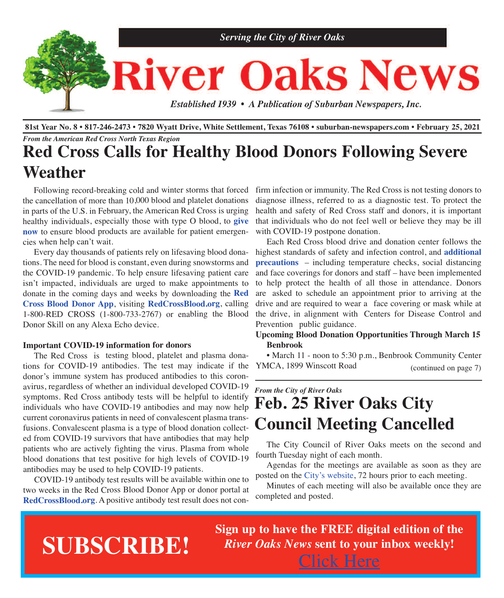

81st Year No. 8 . 817-246-2473 . 7820 Wyatt Drive, White Settlement, Texas 76108 . suburban-newspapers.com . February 25, 2021 *From the American Red Cross North Texas Region*

## **Red Cross Calls for Healthy Blood Donors Following Severe Weather**

Following record-breaking cold and winter storms that forced the cancellation of more than 10,000 blood and platelet donations in parts of the U.S. in February, the American Red Cross is urging healthy individuals, especially those with type O blood, to **g[ive](https://www.redcrossblood.org/give.html/find-drive?cid=%20march1-15bda&med=referral&source=news&campdesc=local) [now](https://www.redcrossblood.org/give.html/find-drive?cid=%20march1-15bda&med=referral&source=news&campdesc=local)** to ensure blood products are available for patient emergencies when help can't wait.

Every day thousands of patients rely on lifesaving blood donations. The need for blood is constant, even during snowstorms and the COVID-19 pandemic. To help ensure lifesaving patient care isn't impacted, individuals are urged to make appointments to donate in the coming days and weeks by downloading the **[Red](https://www.redcrossblood.org/blood-donor-app.html) Cross Blood [Donor](https://www.redcrossblood.org/blood-donor-app.html) App**, visiting **[RedCrossBlood.org](https://www.redcrossblood.org/give.html/find-drive?cid=%20march1-15bda&med=referral&source=news&campdesc=local)**, calling 1-800-RED CROSS (1-800-733-2767) or enabling the Blood Donor Skill on any Alexa Echo device.

#### **Important COVID-19 information for donors**

The Red Cross is testing blood, platelet and plasma donations for COVID-19 antibodies. The test may indicate if the donor's immune system has produced antibodies to this coronavirus, regardless of whether an individual developed COVID-19 symptoms. Red Cross antibody tests will be helpful to identify individuals who have COVID-19 antibodies and may now help current coronavirus patients in need of convalescent plasma transfusions. Convalescent plasma is <sup>a</sup> type of blood donation collected from COVID-19 survivors that have antibodies that may help patients who are actively fighting the virus. Plasma from whole blood donations that test positive for high levels of COVID-19 antibodies may be used to help COVID-19 patients.

COVID-19 antibody test results will be available within one to two weeks in the Red Cross Blood Donor App or donor portal at **[RedCrossBlood.org](https://www.redcrossblood.org/give.html/find-drive?cid=%20march1-15bda&med=referral&source=news&campdesc=local)**. A positive antibody test result does not con-

firm infection or immunity. The Red Cross is not testing donors to diagnose illness, referred to as a diagnostic test. To protect the health and safety of Red Cross staff and donors, it is important that individuals who do not feel well or believe they may be ill with COVID-19 postpone donation.

 Each Red Cross blood drive and donation center follows the highest standards of safety and infection control, and **[additional](https://www.redcrossblood.org/donate-blood/dlp/coronavirus--covid-19--and-blood-donation.html) [precautions](https://www.redcrossblood.org/donate-blood/dlp/coronavirus--covid-19--and-blood-donation.html)** – including temperature checks, social distancing and face coverings for donors and staff – have been implemented to help protect the health of all those in attendance. Donors are asked to schedule an appointment prior to arriving at the drive and are required to wear a face covering or mask while at the drive, in alignment with Centers for Disease Control and Prevention public guidance.

#### **Upcoming Blood Donation Opportunities Through March 15 Benbrook**

 • March 11 - noon to 5:30 p.m., Benbrook Community Center YMCA, 1899 Winscott Road (continued on page 7)

## *From the City of River Oaks* **Feb. 25 River Oaks City Council Meeting Cancelled**

 The City Council of River Oaks meets on the second and fourth Tuesday night of each month.

 Agendas for the meetings are available as soon as they are posted on the City's [website,](http://www.riveroakstx.com) 72 hours prior to each meeting.

 Minutes of each meeting will also be available once they are completed and posted.

# **SUBSCRIBE!**

**Sign up to have the FREE digital edition of the** *River Oaks News* **sent to your inbox weekly!** [Click](http://eepurl.com/g3m8OX) Here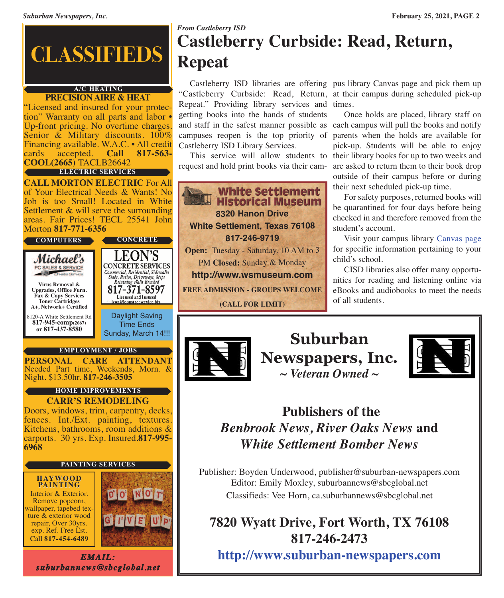

## **A/C HEATING**

**PRECISION AIRE & HEAT**<br>Extensed and insured for your protection" Warranty on all parts and labor • Up-front pricing. No overtime charges.<br>Senior & Military discounts.  $100\%$ Financing available. W.A.C. • All credit cards accepted. **Call 817-563- COOL(2665)** TACLB26642 **ELECTRIC SERVICES**

**CALL MORTON ELECTRIC** For All of Your Electrical Needs & Wants! No Job is too Small! Located in White Settlement & will serve the surrounding areas. Fair Prices! TECL 25541 John Morton **817-771-6356**

**COMPUTERS**

Michael's

**Virus Removal & Upgrades, Office Furn. Fax & Copy Services Toner Cartridges**

PC SALES & SERVICE

8120-A White Settlement Rd **817-945-comp(2667) A+, Network+ Certified**

**or 817-437-8580**

Daylight Saving Time Ends Sunday, March 14!!!

**CONCRETE**

EON'S

**CONCRETE SERVICES** 

Commercial, Residential, Sidewalks<br>Slabs, Patios, Driveways, Steps<br>Retaining Walls Brushed

17-371-8597 Licensed and Insured on@leonstreeservice.bi

#### **EMPLOYMENT / JOBS**

**PERSONAL CARE ATTENDANT** Needed Part time, Weekends, Morn. & Night. \$13.50hr. **817-246-3505**

#### **HOME IMPROVEMENTS**

**CARR'S REMODELING** Doors, windows, trim, carpentry, decks, fences. Int./Ext. painting, textures. Kitchens, bathrooms, room additions & carports. <sup>30</sup> yrs. Exp. Insured.**817-995- <sup>6968</sup>**

#### **PAINTING SERVICES**

#### **HAYWOOD PAINTING**

Interior & Exterior.<br>
Remove popcorn,<br>
wallpaper, tapebed tex-<br>
ture & exterior wood<br>
repair, Over 30yrs. exp. Ref. Free Est. Call **817-454-6489**



*EMAIL: suburbannews@sbcglobal.net*

## *From Castleberry ISD* **Castleberry Curbside: Read, Return, Repeat**

Repeat." Providing library services and times. getting books into the hands of students and staff in the safest manner possible as each campus will pull the books and notify campuses reopen is the top priority of Castleberry ISD Library Services.

request and hold print books via their cam-

**White Settlement Historical Museum 8320 Hanon Drive White Settlement, Texas 76108 817-246-9719 Open:** Tuesday - Saturday, 10 AM to 3 PM **Closed:** Sunday & Monday **<http://www.wsmuseum.com> FREE ADMISSION - GROUPS WELCOME (CALL FOR LIMIT)**

 Castleberry ISD libraries are offering pus library Canvas page and pick them up "Castleberry Curbside: Read, Return, at their campus during scheduled pick-up

This service will allow students to their library books for up to two weeks and Once holds are placed, library staff on parents when the holds are available for pick-up. Students will be able to enjoy are asked to return them to their book drop outside of their campus before or during their next scheduled pick-up time.

 For safety purposes, returned books will be quarantined for four days before being checked in and therefore removed from the student's account.

 Visit your campus library [Canvas](https://bit.ly/3hOPbxu) page for specific information pertaining to your child's school.

 CISD libraries also offer many opportunities for reading and listening online via eBooks and audiobooks to meet the needs of all students.



**Suburban Newspapers, Inc.** *~ Veteran Owned ~*



## **Publishers of the** *Benbrook News, River Oaks News* **and** *White Settlement Bomber News*

Publisher: Boyden Underwood, publisher@suburban-newspapers.com Editor: Emily Moxley, suburbannews@sbcglobal.net Classifieds: Vee Horn, ca.suburbannews@sbcglobal.net

## **7820 Wyatt Drive, Fort Worth, TX 76108 817-246-2473**

**<http://www.suburban-newspapers.com>**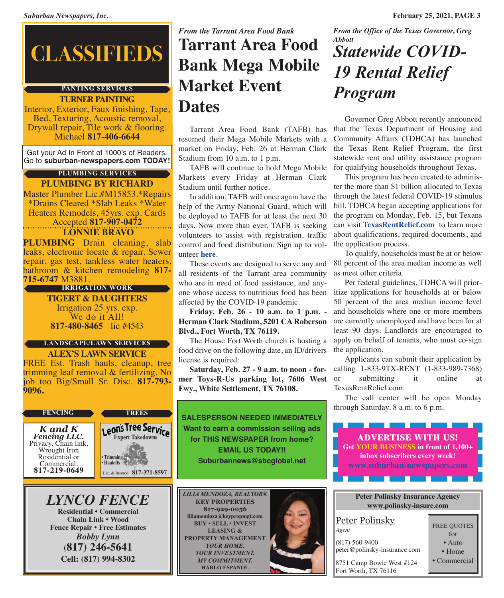# **CLASSIFIEDS**

## **PANTING SERVICES**

**TURNER PAINTING** Interior, Exterior, Faux finishing, Tape, Bed, Texturing, Acoustic removal, Drywall repair, Tile work & flooring.<br>Michael **817-406-6644** 

Get your Ad In Front of 1000's of Readers. Go to **suburban-newspapers.com TODAY!**

## **PLUMBING SERVICES**

**PLUMBING BY RICHARD** Master Plumber Lic.#M15853.\*Repairs \*Drains Cleared \*Slab Leaks \*Water Heaters Remodels, 45yrs. exp. Cards Accepted **817-907-0472**

#### **LONNIE BRAVO**

**PLUMBING** Drain cleaning, slab leaks, electronic locate & repair. Sewer repair, gas test, tankless water heaters, bathroom & kitchen remodeling **817- 715-6747** M3881.

#### **IRRIGATION WORK**

**TIGERT & DAUGHTERS** Irrigation 25 yrs. exp. We do it All! **817-480-8465** lic #4543

#### **LANDSCAPE/LAWN SERVICES**

**ALEX'S LAWN SERVICE** FREE Est. Trash hauls, cleanup, tree trimming leaf removal & fertilizing. No job too Big/Small Sr. Disc. **817-793- 9096.**

#### **FENCING TREES**

*K and K* Privacy, Chain link, Wrought Iron Residential or Commercial. **817-219-0649**



## *LYNCO FENCE*

**Residential • Commercial Chain Link • Wood Fence Repair • Free Estimates** *Bobby Lynn* **(817) 246-5641 Cell: (817) 994-8302**

## *From the Tarrant Area Food Bank* **Tarrant Area Food Bank Mega Mobile Market Event Dates** Governor Greg Abbott recently announced

 Tarrant Area Food Bank (TAFB) has resumed their Mega Mobile Markets with a market on Friday, Feb. 26 at Herman Clark Stadium from 10 a.m. to 1 p.m.

 TAFB will continue to hold Mega Mobile Markets every Friday at Herman Clark Stadium until further notice.

 In addition, TAFB will once again have the help of the Army National Guard, which will be deployed to TAFB for at least the next 30 days. Now more than ever, TAFB is seeking volunteers to assist with registration, traffic control and food distribution. Sign up to volunteer **[here](https://tafb.galaxydigital.com)**.

 These events are designed to serve any and all residents of the Tarrant area community who are in need of food assistance, and anyone whose access to nutritious food has been affected by the COVID-19 pandemic.

 **Friday, Feb. 26 - 10 a.m. to 1 p.m. - Herman Clark Stadium, 5201 CA Roberson Blvd., Fort Worth, TX 76119.**

The House Fort Worth church is hosting a food drive on the following date, an ID/drivers license is required:

**mer Toys-R-Us parking lot, 7606 West Fwy., White Settlement, TX 76108.**

**SALESPERSON NEEDED IMMEDIATELY Want to earn a commission selling ads for THIS NEWSPAPER from home? EMAIL US TODAY!! Suburbannews@sbcglobal.net**

*LILIA MENDOZA, REALTOR®* **KEY PROPERTIES 817-929-0056 liliamendoza@keypropmgt.com BUY • SELL • INVEST LEASING & PROPERTY MANAGEMENT** *YOUR HOME. YOUR INVESTMENT. MY COMMITMENT.* **HABLO ESPANOL**



*From the Office of the Texas Governor, Greg Abbott*

## *Statewide COVID-19 Rental Relief Program*

that the Texas Department of Housing and Community Affairs (TDHCA) has launched the Texas Rent Relief Program, the first statewide rent and utility assistance program for qualifying households throughout Texas.

 This program has been created to administer the more than \$1 billion allocated to Texas through the latest federal COVID-19 stimulus bill. TDHCA began accepting applications for the program on Monday, Feb. 15, but Texans can visit **<TexasRentRelief.com>** to learn more about qualifications, required documents, and the application process.

 To qualify, households must be at or below 80 percent of the area median income as well as meet other criteria.

 Per federal guidelines, TDHCA will prioritize applications for households at or below 50 percent of the area median income level and households where one or more members are currently unemployed and have been for at least 90 days. Landlords are encouraged to apply on behalf of tenants, who must co-sign the application.

 **Saturday, Feb. 27 - 9 a.m. to noon - for-**calling 1-833-9TX-RENT (1-833-989-7368) Applicants can submit their application by submitting it online at TexasRentRelief.com.

> The call center will be open Monday through Saturday, 8 a.m. to 6 p.m.

**ADVERTISE WITH US! Get YOUR BUSINESS in front of 1,100+ inbox subscribers every week! <www.suburban-newspapers.com>**

#### **Peter Polinsky Insurance Agency <www.polinsky-insure.com>**

#### Peter Polinsky *Agent*

(817) 560-9400 peter@polinsky-insurance.com

8751 Camp Bowie West #124

Fort Worth, TX 76116

FREE QUOTES for • Auto • Home • Commercial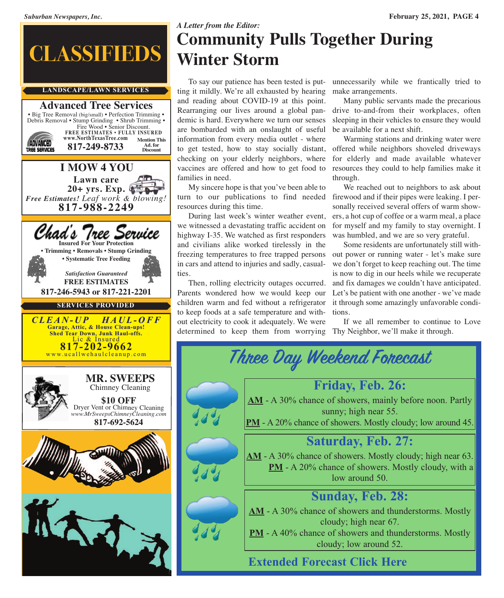

## *A Letter from the Editor:* **Community Pulls Together During Winter Storm**

 To say our patience has been tested is putting it mildly. We're all exhausted by hearing and reading about COVID-19 at this point. Rearranging our lives around a global pandemic is hard. Everywhere we turn our senses are bombarded with an onslaught of useful information from every media outlet - where to get tested, how to stay socially distant, offered while neighbors shoveled driveways checking on your elderly neighbors, where vaccines are offered and how to get food to families in need.

 My sincere hope is that you've been able to turn to our publications to find needed firewood and if their pipes were leaking. I perresources during this time.

 During last week's winter weather event, ers, a hot cup of coffee or a warm meal, a place we witnessed a devastating traffic accident on highway I-35. We watched as first responders and civilians alike worked tirelessly in the freezing temperatures to free trapped persons in cars and attend to injuries and sadly, casualties.

 Then, rolling electricity outages occurred. Parents wondered how we would keep our children warm and fed without a refrigerator to keep foods at a safe temperature and without electricity to cook it adequately. We were determined to keep them from worrying Thy Neighbor, we'll make it through.

unnecessarily while we frantically tried to make arrangements.

 Many public servants made the precarious drive to-and-from their workplaces, often sleeping in their vehicles to ensure they would be available for a next shift.

 Warming stations and drinking water were for elderly and made available whatever resources they could to help families make it through.

 We reached out to neighbors to ask about sonally received several offers of warm showfor myself and my family to stay overnight. I was humbled, and we are so very grateful.

 Some residents are unfortunately still without power or running water - let's make sure we don't forget to keep reaching out. The time is now to dig in our heels while we recuperate and fix damages we couldn't have anticipated. Let's be patient with one another - we've made it through some amazingly unfavorable conditions.

If we all remember to continue to Love

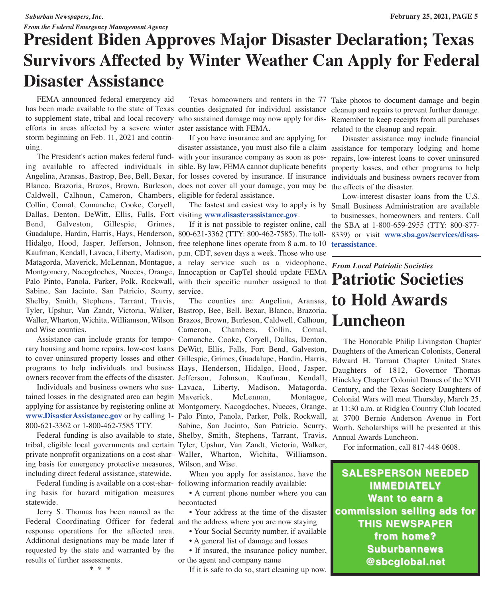#### *From the Federal Emergency Management Agency*

## **President Biden Approves Major Disaster Declaration; Texas Survivors Affected by Winter Weather Can Apply for Federal Disaster Assistance**

 FEMA announced federal emergency aid has been made available to the state of Texas counties designated for individual assistance cleanup and repairs to prevent further damage. to supplement state, tribal and local recovery who sustained damage may now apply for dis-Remember to keep receipts from all purchases efforts in areas affected by a severe winter aster assistance with FEMA. storm beginning on Feb. 11, 2021 and continuing.

Matagorda, Maverick, McLennan, Montague, a relay service such as a videophone, *From Local Patriotic Societies* Montgomery, Nacogdoches, Nueces, Orange, Innocaption or Capter should update FEMA<br>Palo Pinto, Panola, Parker, Polk, Rockwall, with their specific number assigned to that **Patriotic Societies** Waller, Wharton, Wichita, Williamson, Wilson Brazos, Brown, Burleson, Caldwell, Calhoun, **Luncheon**  The President's action makes federal fund-with your insurance company as soon as pos-repairs, low-interest loans to cover uninsured ing available to affected individuals in sible. By law, FEMA cannot duplicate benefits Angelina, Aransas, Bastrop, Bee, Bell, Bexar, for losses covered by insurance. If insurance individuals and business owners recover from Blanco, Brazoria, Brazos, Brown, Burleson, does not cover all your damage, you may be the effects of the disaster. Caldwell, Calhoun, Cameron, Chambers, eligible for federal assistance. Collin, Comal, Comanche, Cooke, Coryell, Dallas, Denton, DeWitt, Ellis, Falls, Fort visiting **<www.disasterassistance.gov>**. Bend, Galveston, Gillespie, Grimes, Guadalupe, Hardin, Harris, Hays, Henderson, 800-621-3362 (TTY: 800-462-7585). The toll-8339) or visit **[www.sba.gov/services/disas-](www.sba.gov/services/disasterassistance)**Hidalgo, Hood, Jasper, Jefferson, Johnson, free telephone lines operate from 8 a.m. to 10 Kaufman, Kendall, Lavaca, Liberty, Madison, p.m. CDT, seven days a week. Those who use Montgomery, Nacogdoches, Nueces, Orange, Innocaption or CapTel should update FEMA Sabine, San Jacinto, San Patricio, Scurry, service. Shelby, Smith, Stephens, Tarrant, Travis, Tyler, Upshur, Van Zandt, Victoria, Walker, Bastrop, Bee, Bell, Bexar, Blanco, Brazoria, and Wise counties.

 Assistance can include grants for tempo-Comanche, Cooke, Coryell, Dallas, Denton, to cover uninsured property losses and other Gillespie, Grimes, Guadalupe, Hardin, Harris,

tained losses in the designated area can begin applying for assistance by registering online at Montgomery, Nacogdoches, Nueces, Orange, **<www.DisasterAssistance.gov>** or by calling 1- Palo Pinto, Panola, Parker, Polk, Rockwall, 800-621-3362 or 1-800-462-7585 TTY.

tribal, eligible local governments and certain Tyler, Upshur, Van Zandt, Victoria, Walker, private nonprofit organizations on a cost-shar-Waller, Wharton, Wichita, Williamson, ing basis for emergency protective measures, Wilson, and Wise. including direct federal assistance, statewide.

 Federal funding is available on a cost-shar-following information readily available: ing basis for hazard mitigation measures statewide.

 Jerry S. Thomas has been named as the Federal Coordinating Officer for federal and the address where you are now staying response operations for the affected area. Additional designations may be made later if requested by the state and warranted by the results of further assessments.

Texas homeowners and renters in the 77 Take photos to document damage and begin

 If you have insurance and are applying for disaster assistance, you must also file a claim assistance for temporary lodging and home

If it is not possible to register online, call the SBA at 1-800-659-2955 (TTY: 800-877-

rary housing and home repairs, low-cost loans DeWitt, Ellis, Falls, Fort Bend, Galveston, Daughters of the American Colonists, General programs to help individuals and business Hays, Henderson, Hidalgo, Hood, Jasper, Daughters of 1812, Governor Thomas owners recover from the effects of the disaster. Jefferson, Johnson, Kaufman, Kendall, Individuals and business owners who sus-Lavaca, Liberty, Madison, Matagorda, Federal funding is also available to state, Shelby, Smith, Stephens, Tarrant, Travis, Cameron, Chambers, Collin, Comal, McLennan, Montague, Sabine, San Jacinto, San Patricio, Scurry,

When you apply for assistance, have the

 • A current phone number where you can becontacted

• Your address at the time of the disaster

- Your Social Security number, if available
- A general list of damage and losses

• If insured, the insurance policy number, or the agent and company name

If it is safe to do so, start cleaning up now.

related to the cleanup and repair.

 Disaster assistance may include financial property losses, and other programs to help

 The fastest and easiest way to apply is by Small Business Administration are available Low-interest disaster loans from the U.S. to businesses, homeowners and renters. Call **[terassistance](www.sba.gov/services/disasterassistance)**.

# The counties are: Angelina, Aransas, **to Hold Awards**

 The Honorable Philip Livingston Chapter Edward H. Tarrant Chapter United States Hinckley Chapter Colonial Dames of the XVII Century, and the Texas Society Daughters of Colonial Wars will meet Thursday, March 25, at 11:30 a.m. at Ridglea Country Club located at 3700 Bernie Anderson Avenue in Fort Worth. Scholarships will be presented at this Annual Awards Luncheon.

For information, call 817-448-0608.

**SALESPERSON NEEDED IMMEDIATELY Want to earn a commission selling ads for THIS NEWSPAPER from home? Suburbannews @sbcglobal.net**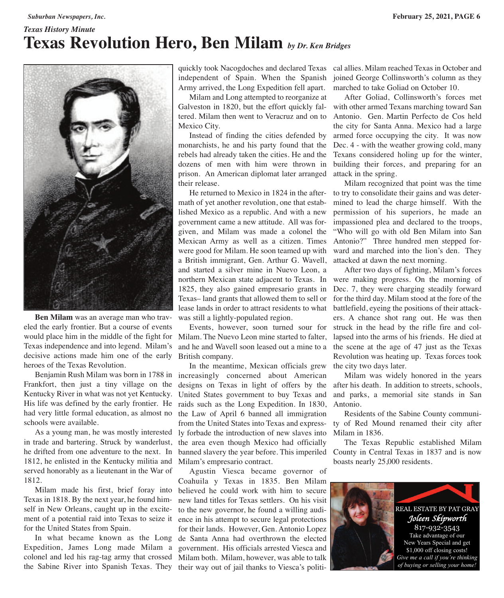## *Texas History Minute* **Texas Revolution Hero, Ben Milam** *by Dr. Ken Bridges*



 **Ben Milam** was an average man who traveled the early frontier. But a course of events would place him in the middle of the fight for Milam. The Nuevo Leon mine started to falter, Texas independence and into legend. Milam's decisive actions made him one of the early heroes of the Texas Revolution.

 Benjamin Rush Milam was born in 1788 in increasingly concerned about American Frankfort, then just a tiny village on the Kentucky River in what was not yet Kentucky. His life was defined by the early frontier. He had very little formal education, as almost no schools were available.

 As a young man, he was mostly interested in trade and bartering. Struck by wanderlust, he drifted from one adventure to the next. In 1812, he enlisted in the Kentucky militia and served honorably as a lieutenant in the War of 1812.

 Milam made his first, brief foray into Texas in 1818. By the next year, he found himself in New Orleans, caught up in the excitement of a potential raid into Texas to seize it for the United States from Spain.

 In what became known as the Long de Santa Anna had overthrown the elected Expedition, James Long made Milam a colonel and led his rag-tag army that crossed the Sabine River into Spanish Texas. They their way out of jail thanks to Viesca's politi-

quickly took Nacogdoches and declared Texas cal allies. Milam reached Texas in October and independent of Spain. When the Spanish Army arrived, the Long Expedition fell apart.

 Milam and Long attempted to reorganize at Galveston in 1820, but the effort quickly faltered. Milam then went to Veracruz and on to Mexico City.

 Instead of finding the cities defended by monarchists, he and his party found that the rebels had already taken the cities. He and the dozens of men with him were thrown in prison. An American diplomat later arranged their release.

 He returned to Mexico in 1824 in the aftermath of yet another revolution, one that established Mexico as a republic. And with a new government came a new attitude. All was forgiven, and Milam was made a colonel the Mexican Army as well as a citizen. Times were good for Milam. He soon teamed up with a British immigrant, Gen. Arthur G. Wavell, and started a silver mine in Nuevo Leon, a northern Mexican state adjacent to Texas. In 1825, they also gained empresario grants in Texas– land grants that allowed them to sell or lease lands in order to attract residents to what was still a lightly-populated region.

 Events, however, soon turned sour for and he and Wavell soon leased out a mine to a British company.

 In the meantime, Mexican officials grew designs on Texas in light of offers by the United States government to buy Texas and raids such as the Long Expedition. In 1830, the Law of April 6 banned all immigration from the United States into Texas and express-ty of Red Mound renamed their city after ly forbade the introduction of new slaves into the area even though Mexico had officially banned slavery the year before. This imperiled County in Central Texas in 1837 and is now Milam's empresario contract.

 Agustin Viesca became governor of Coahuila y Texas in 1835. Ben Milam believed he could work with him to secure new land titles for Texas settlers. On his visit to the new governor, he found a willing audience in his attempt to secure legal protections for their lands. However, Gen. Antonio Lopez government. His officials arrested Viesca and Milam both. Milam, however, was able to talk

joined George Collinsworth's column as they marched to take Goliad on October 10.

 After Goliad, Collinsworth's forces met with other armed Texans marching toward San Antonio. Gen. Martin Perfecto de Cos held the city for Santa Anna. Mexico had a large armed force occupying the city. It was now Dec. 4 - with the weather growing cold, many Texans considered holing up for the winter, building their forces, and preparing for an attack in the spring.

 Milam recognized that point was the time to try to consolidate their gains and was determined to lead the charge himself. With the permission of his superiors, he made an impassioned plea and declared to the troops, "Who will go with old Ben Milam into San Antonio?" Three hundred men stepped forward and marched into the lion's den. They attacked at dawn the next morning.

 After two days of fighting, Milam's forces were making progress. On the morning of Dec. 7, they were charging steadily forward for the third day. Milam stood at the fore of the battlefield, eyeing the positions of their attackers. A chance shot rang out. He was then struck in the head by the rifle fire and collapsed into the arms of his friends. He died at the scene at the age of 47 just as the Texas Revolution was heating up. Texas forces took the city two days later.

 Milam was widely honored in the years after his death. In addition to streets, schools, and parks, a memorial site stands in San Antonio.

 Residents of the Sabine County communi-Milam in 1836.

 The Texas Republic established Milam boasts nearly 25,000 residents.